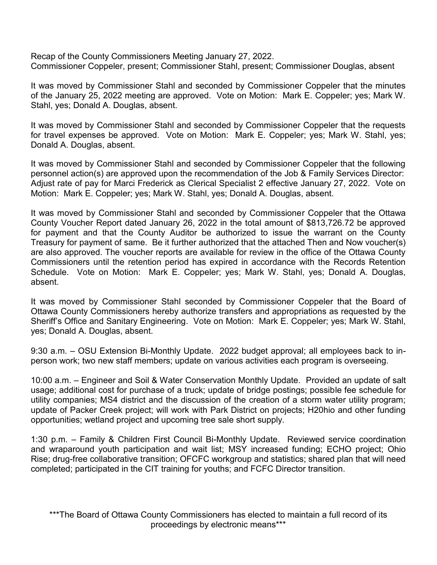Recap of the County Commissioners Meeting January 27, 2022. Commissioner Coppeler, present; Commissioner Stahl, present; Commissioner Douglas, absent

It was moved by Commissioner Stahl and seconded by Commissioner Coppeler that the minutes of the January 25, 2022 meeting are approved. Vote on Motion: Mark E. Coppeler; yes; Mark W. Stahl, yes; Donald A. Douglas, absent.

It was moved by Commissioner Stahl and seconded by Commissioner Coppeler that the requests for travel expenses be approved. Vote on Motion: Mark E. Coppeler; yes; Mark W. Stahl, yes; Donald A. Douglas, absent.

It was moved by Commissioner Stahl and seconded by Commissioner Coppeler that the following personnel action(s) are approved upon the recommendation of the Job & Family Services Director: Adjust rate of pay for Marci Frederick as Clerical Specialist 2 effective January 27, 2022. Vote on Motion: Mark E. Coppeler; yes; Mark W. Stahl, yes; Donald A. Douglas, absent.

It was moved by Commissioner Stahl and seconded by Commissioner Coppeler that the Ottawa County Voucher Report dated January 26, 2022 in the total amount of \$813,726.72 be approved for payment and that the County Auditor be authorized to issue the warrant on the County Treasury for payment of same. Be it further authorized that the attached Then and Now voucher(s) are also approved. The voucher reports are available for review in the office of the Ottawa County Commissioners until the retention period has expired in accordance with the Records Retention Schedule. Vote on Motion: Mark E. Coppeler; yes; Mark W. Stahl, yes; Donald A. Douglas, absent.

It was moved by Commissioner Stahl seconded by Commissioner Coppeler that the Board of Ottawa County Commissioners hereby authorize transfers and appropriations as requested by the Sheriff's Office and Sanitary Engineering. Vote on Motion: Mark E. Coppeler; yes; Mark W. Stahl, yes; Donald A. Douglas, absent.

9:30 a.m. – OSU Extension Bi-Monthly Update. 2022 budget approval; all employees back to inperson work; two new staff members; update on various activities each program is overseeing.

10:00 a.m. – Engineer and Soil & Water Conservation Monthly Update. Provided an update of salt usage; additional cost for purchase of a truck; update of bridge postings; possible fee schedule for utility companies; MS4 district and the discussion of the creation of a storm water utility program; update of Packer Creek project; will work with Park District on projects; H20hio and other funding opportunities; wetland project and upcoming tree sale short supply.

1:30 p.m. – Family & Children First Council Bi-Monthly Update. Reviewed service coordination and wraparound youth participation and wait list; MSY increased funding; ECHO project; Ohio Rise; drug-free collaborative transition; OFCFC workgroup and statistics; shared plan that will need completed; participated in the CIT training for youths; and FCFC Director transition.